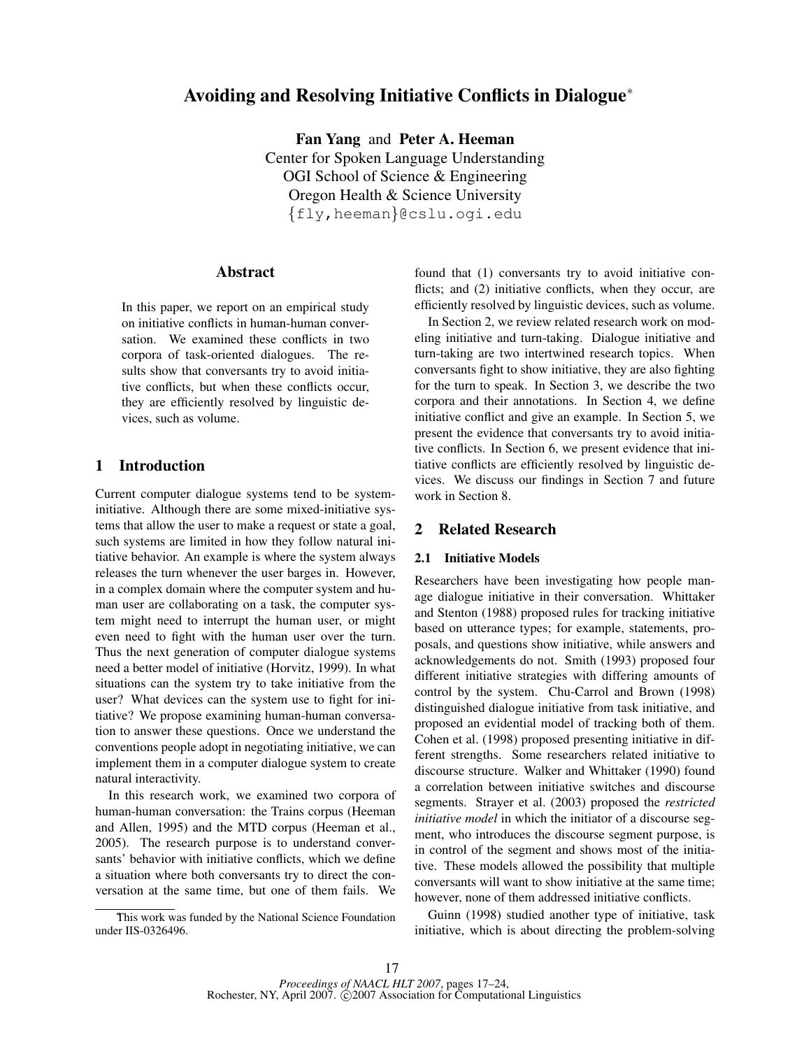# Avoiding and Resolving Initiative Conflicts in Dialogue<sup>∗</sup>

Fan Yang and Peter A. Heeman Center for Spoken Language Understanding OGI School of Science & Engineering Oregon Health & Science University {fly,heeman}@cslu.ogi.edu

# Abstract

In this paper, we report on an empirical study on initiative conflicts in human-human conversation. We examined these conflicts in two corpora of task-oriented dialogues. The results show that conversants try to avoid initiative conflicts, but when these conflicts occur, they are efficiently resolved by linguistic devices, such as volume.

# 1 Introduction

Current computer dialogue systems tend to be systeminitiative. Although there are some mixed-initiative systems that allow the user to make a request or state a goal, such systems are limited in how they follow natural initiative behavior. An example is where the system always releases the turn whenever the user barges in. However, in a complex domain where the computer system and human user are collaborating on a task, the computer system might need to interrupt the human user, or might even need to fight with the human user over the turn. Thus the next generation of computer dialogue systems need a better model of initiative (Horvitz, 1999). In what situations can the system try to take initiative from the user? What devices can the system use to fight for initiative? We propose examining human-human conversation to answer these questions. Once we understand the conventions people adopt in negotiating initiative, we can implement them in a computer dialogue system to create natural interactivity.

In this research work, we examined two corpora of human-human conversation: the Trains corpus (Heeman and Allen, 1995) and the MTD corpus (Heeman et al., 2005). The research purpose is to understand conversants' behavior with initiative conflicts, which we define a situation where both conversants try to direct the conversation at the same time, but one of them fails. We

found that (1) conversants try to avoid initiative conflicts; and (2) initiative conflicts, when they occur, are efficiently resolved by linguistic devices, such as volume.

In Section 2, we review related research work on modeling initiative and turn-taking. Dialogue initiative and turn-taking are two intertwined research topics. When conversants fight to show initiative, they are also fighting for the turn to speak. In Section 3, we describe the two corpora and their annotations. In Section 4, we define initiative conflict and give an example. In Section 5, we present the evidence that conversants try to avoid initiative conflicts. In Section 6, we present evidence that initiative conflicts are efficiently resolved by linguistic devices. We discuss our findings in Section 7 and future work in Section 8.

## 2 Related Research

#### 2.1 Initiative Models

Researchers have been investigating how people manage dialogue initiative in their conversation. Whittaker and Stenton (1988) proposed rules for tracking initiative based on utterance types; for example, statements, proposals, and questions show initiative, while answers and acknowledgements do not. Smith (1993) proposed four different initiative strategies with differing amounts of control by the system. Chu-Carrol and Brown (1998) distinguished dialogue initiative from task initiative, and proposed an evidential model of tracking both of them. Cohen et al. (1998) proposed presenting initiative in different strengths. Some researchers related initiative to discourse structure. Walker and Whittaker (1990) found a correlation between initiative switches and discourse segments. Strayer et al. (2003) proposed the *restricted initiative model* in which the initiator of a discourse segment, who introduces the discourse segment purpose, is in control of the segment and shows most of the initiative. These models allowed the possibility that multiple conversants will want to show initiative at the same time; however, none of them addressed initiative conflicts.

Guinn (1998) studied another type of initiative, task initiative, which is about directing the problem-solving

This work was funded by the National Science Foundation under IIS-0326496.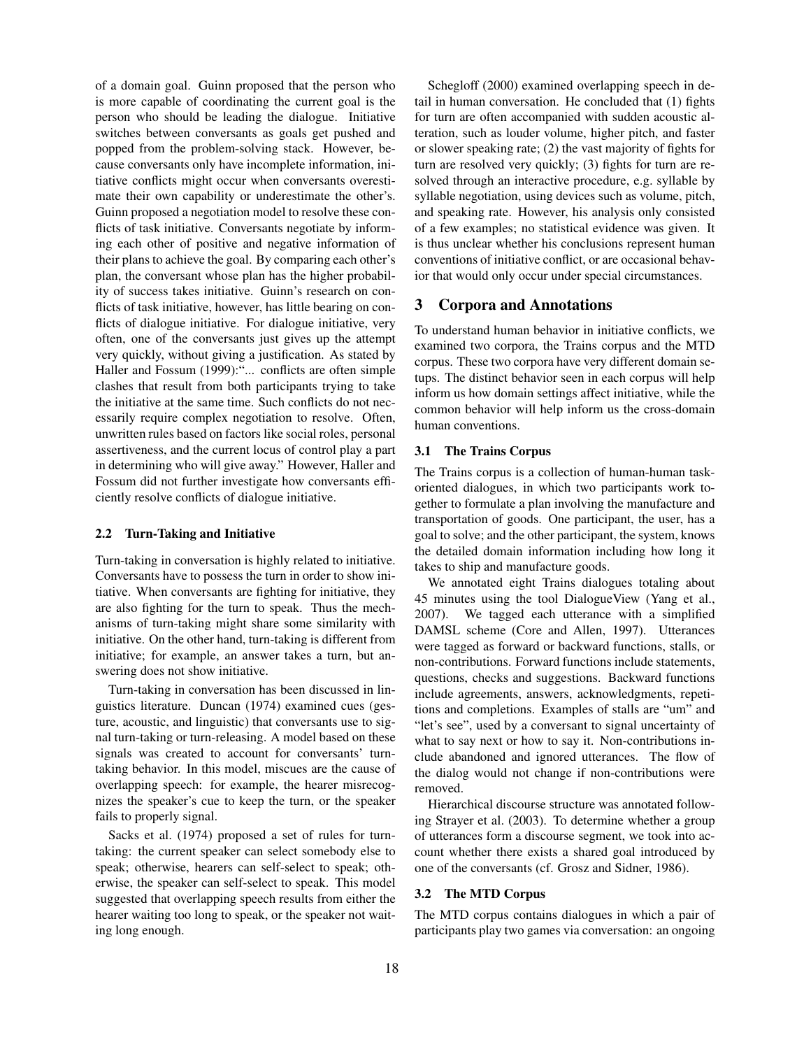of a domain goal. Guinn proposed that the person who is more capable of coordinating the current goal is the person who should be leading the dialogue. Initiative switches between conversants as goals get pushed and popped from the problem-solving stack. However, because conversants only have incomplete information, initiative conflicts might occur when conversants overestimate their own capability or underestimate the other's. Guinn proposed a negotiation model to resolve these conflicts of task initiative. Conversants negotiate by informing each other of positive and negative information of their plans to achieve the goal. By comparing each other's plan, the conversant whose plan has the higher probability of success takes initiative. Guinn's research on conflicts of task initiative, however, has little bearing on conflicts of dialogue initiative. For dialogue initiative, very often, one of the conversants just gives up the attempt very quickly, without giving a justification. As stated by Haller and Fossum (1999):"... conflicts are often simple clashes that result from both participants trying to take the initiative at the same time. Such conflicts do not necessarily require complex negotiation to resolve. Often, unwritten rules based on factors like social roles, personal assertiveness, and the current locus of control play a part in determining who will give away." However, Haller and Fossum did not further investigate how conversants efficiently resolve conflicts of dialogue initiative.

#### 2.2 Turn-Taking and Initiative

Turn-taking in conversation is highly related to initiative. Conversants have to possess the turn in order to show initiative. When conversants are fighting for initiative, they are also fighting for the turn to speak. Thus the mechanisms of turn-taking might share some similarity with initiative. On the other hand, turn-taking is different from initiative; for example, an answer takes a turn, but answering does not show initiative.

Turn-taking in conversation has been discussed in linguistics literature. Duncan (1974) examined cues (gesture, acoustic, and linguistic) that conversants use to signal turn-taking or turn-releasing. A model based on these signals was created to account for conversants' turntaking behavior. In this model, miscues are the cause of overlapping speech: for example, the hearer misrecognizes the speaker's cue to keep the turn, or the speaker fails to properly signal.

Sacks et al. (1974) proposed a set of rules for turntaking: the current speaker can select somebody else to speak; otherwise, hearers can self-select to speak; otherwise, the speaker can self-select to speak. This model suggested that overlapping speech results from either the hearer waiting too long to speak, or the speaker not waiting long enough.

Schegloff (2000) examined overlapping speech in detail in human conversation. He concluded that (1) fights for turn are often accompanied with sudden acoustic alteration, such as louder volume, higher pitch, and faster or slower speaking rate; (2) the vast majority of fights for turn are resolved very quickly; (3) fights for turn are resolved through an interactive procedure, e.g. syllable by syllable negotiation, using devices such as volume, pitch, and speaking rate. However, his analysis only consisted of a few examples; no statistical evidence was given. It is thus unclear whether his conclusions represent human conventions of initiative conflict, or are occasional behavior that would only occur under special circumstances.

# 3 Corpora and Annotations

To understand human behavior in initiative conflicts, we examined two corpora, the Trains corpus and the MTD corpus. These two corpora have very different domain setups. The distinct behavior seen in each corpus will help inform us how domain settings affect initiative, while the common behavior will help inform us the cross-domain human conventions.

## 3.1 The Trains Corpus

The Trains corpus is a collection of human-human taskoriented dialogues, in which two participants work together to formulate a plan involving the manufacture and transportation of goods. One participant, the user, has a goal to solve; and the other participant, the system, knows the detailed domain information including how long it takes to ship and manufacture goods.

We annotated eight Trains dialogues totaling about 45 minutes using the tool DialogueView (Yang et al., 2007). We tagged each utterance with a simplified DAMSL scheme (Core and Allen, 1997). Utterances were tagged as forward or backward functions, stalls, or non-contributions. Forward functions include statements, questions, checks and suggestions. Backward functions include agreements, answers, acknowledgments, repetitions and completions. Examples of stalls are "um" and "let's see", used by a conversant to signal uncertainty of what to say next or how to say it. Non-contributions include abandoned and ignored utterances. The flow of the dialog would not change if non-contributions were removed.

Hierarchical discourse structure was annotated following Strayer et al. (2003). To determine whether a group of utterances form a discourse segment, we took into account whether there exists a shared goal introduced by one of the conversants (cf. Grosz and Sidner, 1986).

## 3.2 The MTD Corpus

The MTD corpus contains dialogues in which a pair of participants play two games via conversation: an ongoing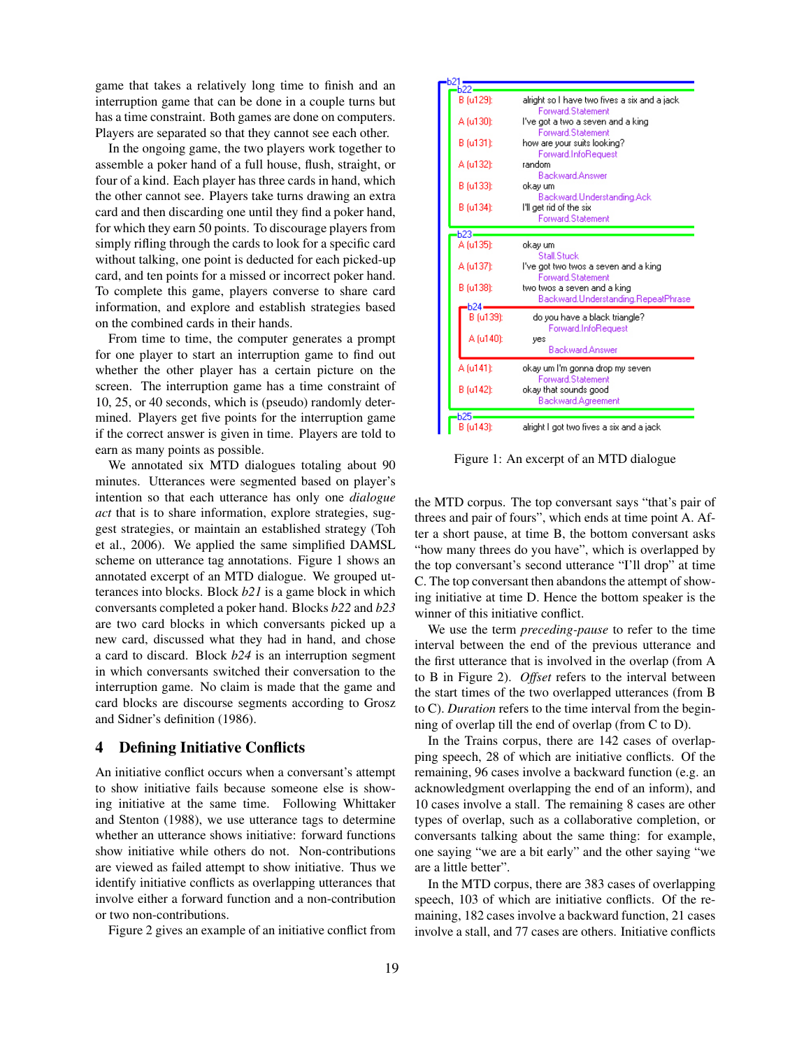game that takes a relatively long time to finish and an interruption game that can be done in a couple turns but has a time constraint. Both games are done on computers. Players are separated so that they cannot see each other.

In the ongoing game, the two players work together to assemble a poker hand of a full house, flush, straight, or four of a kind. Each player has three cards in hand, which the other cannot see. Players take turns drawing an extra card and then discarding one until they find a poker hand, for which they earn 50 points. To discourage players from simply rifling through the cards to look for a specific card without talking, one point is deducted for each picked-up card, and ten points for a missed or incorrect poker hand. To complete this game, players converse to share card information, and explore and establish strategies based on the combined cards in their hands.

From time to time, the computer generates a prompt for one player to start an interruption game to find out whether the other player has a certain picture on the screen. The interruption game has a time constraint of 10, 25, or 40 seconds, which is (pseudo) randomly determined. Players get five points for the interruption game if the correct answer is given in time. Players are told to earn as many points as possible.

We annotated six MTD dialogues totaling about 90 minutes. Utterances were segmented based on player's intention so that each utterance has only one *dialogue act* that is to share information, explore strategies, suggest strategies, or maintain an established strategy (Toh et al., 2006). We applied the same simplified DAMSL scheme on utterance tag annotations. Figure 1 shows an annotated excerpt of an MTD dialogue. We grouped utterances into blocks. Block *b21* is a game block in which conversants completed a poker hand. Blocks *b22* and *b23* are two card blocks in which conversants picked up a new card, discussed what they had in hand, and chose a card to discard. Block *b24* is an interruption segment in which conversants switched their conversation to the interruption game. No claim is made that the game and card blocks are discourse segments according to Grosz and Sidner's definition (1986).

## 4 Defining Initiative Conflicts

An initiative conflict occurs when a conversant's attempt to show initiative fails because someone else is showing initiative at the same time. Following Whittaker and Stenton (1988), we use utterance tags to determine whether an utterance shows initiative: forward functions show initiative while others do not. Non-contributions are viewed as failed attempt to show initiative. Thus we identify initiative conflicts as overlapping utterances that involve either a forward function and a non-contribution or two non-contributions.

Figure 2 gives an example of an initiative conflict from

|               | $-b21$           |                                                                          |
|---------------|------------------|--------------------------------------------------------------------------|
| $rac{1}{622}$ |                  |                                                                          |
|               | B (u129):        | alright so I have two fives a six and a jack<br><b>Forward Statement</b> |
|               | A (u130):        | I've got a two a seven and a king<br><b>Forward Statement</b>            |
|               | B (u131):        | how are your suits looking?<br>Forward.InfoRequest                       |
|               | A (u132):        | random<br><b>Backward Answer</b>                                         |
|               | B (u133):        | okay um<br>Backward.Understanding.Ack                                    |
|               | B (u134):        | I'll get rid of the six<br><b>Forward Statement</b>                      |
|               |                  |                                                                          |
|               | Ь23-             |                                                                          |
|               | A (u135):        | okay um<br>Stall Stuck                                                   |
|               | A (u137):        | I've got two twos a seven and a king<br><b>Forward Statement</b>         |
|               | B (u138):        | two twos a seven and a king<br>Backward.Understanding.RepeatPhrase       |
|               | $-124-$          |                                                                          |
|               | B (u139):        | do you have a black triangle?<br>Forward.InfoRequest                     |
|               | A (u140):        | yes                                                                      |
|               |                  | Backward.Answer                                                          |
|               | A (u141):        | okay um I'm gonna drop my seven                                          |
|               |                  | <b>Forward Statement</b>                                                 |
|               | B (u142):        | okay that sounds good<br>Backward.Agreement                              |
|               |                  |                                                                          |
|               | b25<br>B (u143): | alright I got two fives a six and a jack                                 |

Figure 1: An excerpt of an MTD dialogue

the MTD corpus. The top conversant says "that's pair of threes and pair of fours", which ends at time point A. After a short pause, at time B, the bottom conversant asks "how many threes do you have", which is overlapped by the top conversant's second utterance "I'll drop" at time C. The top conversant then abandons the attempt of showing initiative at time D. Hence the bottom speaker is the winner of this initiative conflict.

We use the term *preceding-pause* to refer to the time interval between the end of the previous utterance and the first utterance that is involved in the overlap (from A to B in Figure 2). *Offset* refers to the interval between the start times of the two overlapped utterances (from B to C). *Duration* refers to the time interval from the beginning of overlap till the end of overlap (from C to D).

In the Trains corpus, there are 142 cases of overlapping speech, 28 of which are initiative conflicts. Of the remaining, 96 cases involve a backward function (e.g. an acknowledgment overlapping the end of an inform), and 10 cases involve a stall. The remaining 8 cases are other types of overlap, such as a collaborative completion, or conversants talking about the same thing: for example, one saying "we are a bit early" and the other saying "we are a little better".

In the MTD corpus, there are 383 cases of overlapping speech, 103 of which are initiative conflicts. Of the remaining, 182 cases involve a backward function, 21 cases involve a stall, and 77 cases are others. Initiative conflicts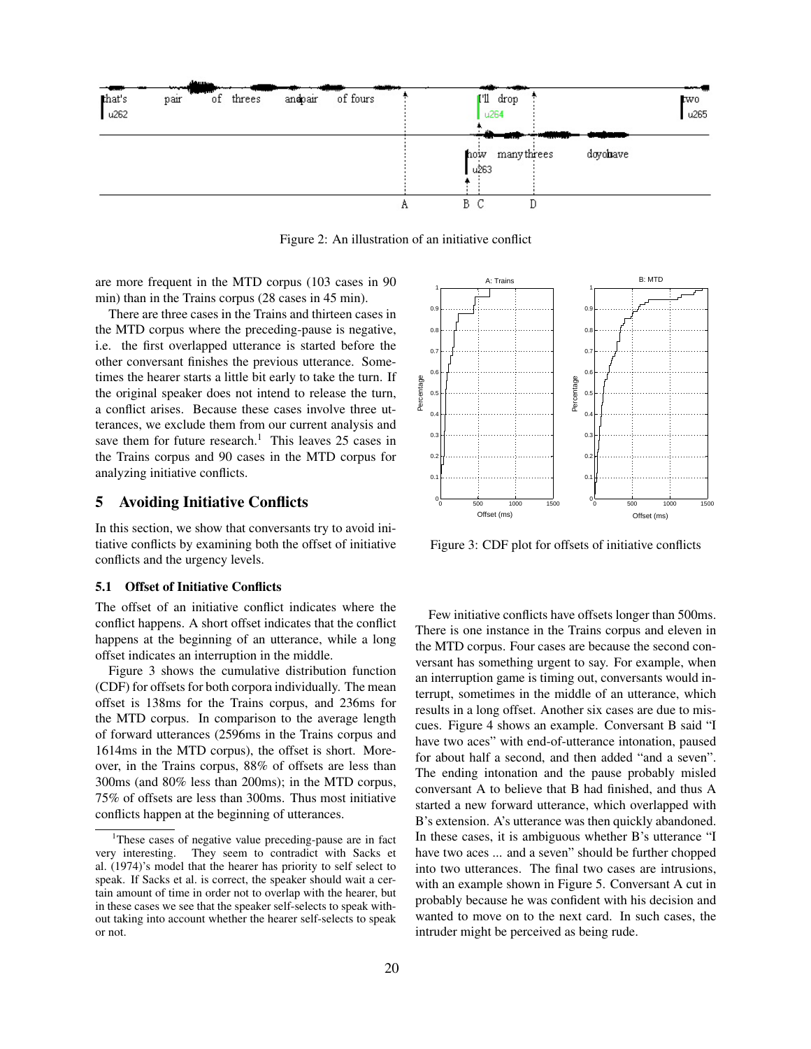

Figure 2: An illustration of an initiative conflict

are more frequent in the MTD corpus (103 cases in 90 min) than in the Trains corpus (28 cases in 45 min).

There are three cases in the Trains and thirteen cases in the MTD corpus where the preceding-pause is negative, i.e. the first overlapped utterance is started before the other conversant finishes the previous utterance. Sometimes the hearer starts a little bit early to take the turn. If the original speaker does not intend to release the turn, a conflict arises. Because these cases involve three utterances, we exclude them from our current analysis and save them for future research.<sup>1</sup> This leaves 25 cases in the Trains corpus and 90 cases in the MTD corpus for analyzing initiative conflicts.

# 5 Avoiding Initiative Conflicts

In this section, we show that conversants try to avoid initiative conflicts by examining both the offset of initiative conflicts and the urgency levels.

#### 5.1 Offset of Initiative Conflicts

The offset of an initiative conflict indicates where the conflict happens. A short offset indicates that the conflict happens at the beginning of an utterance, while a long offset indicates an interruption in the middle.

Figure 3 shows the cumulative distribution function (CDF) for offsets for both corpora individually. The mean offset is 138ms for the Trains corpus, and 236ms for the MTD corpus. In comparison to the average length of forward utterances (2596ms in the Trains corpus and 1614ms in the MTD corpus), the offset is short. Moreover, in the Trains corpus, 88% of offsets are less than 300ms (and 80% less than 200ms); in the MTD corpus, 75% of offsets are less than 300ms. Thus most initiative conflicts happen at the beginning of utterances.



Figure 3: CDF plot for offsets of initiative conflicts

Few initiative conflicts have offsets longer than 500ms. There is one instance in the Trains corpus and eleven in the MTD corpus. Four cases are because the second conversant has something urgent to say. For example, when an interruption game is timing out, conversants would interrupt, sometimes in the middle of an utterance, which results in a long offset. Another six cases are due to miscues. Figure 4 shows an example. Conversant B said "I have two aces" with end-of-utterance intonation, paused for about half a second, and then added "and a seven". The ending intonation and the pause probably misled conversant A to believe that B had finished, and thus A started a new forward utterance, which overlapped with B's extension. A's utterance was then quickly abandoned. In these cases, it is ambiguous whether B's utterance "I have two aces ... and a seven" should be further chopped into two utterances. The final two cases are intrusions, with an example shown in Figure 5. Conversant A cut in probably because he was confident with his decision and wanted to move on to the next card. In such cases, the intruder might be perceived as being rude.

<sup>&</sup>lt;sup>1</sup>These cases of negative value preceding-pause are in fact very interesting. They seem to contradict with Sacks et al. (1974)'s model that the hearer has priority to self select to speak. If Sacks et al. is correct, the speaker should wait a certain amount of time in order not to overlap with the hearer, but in these cases we see that the speaker self-selects to speak without taking into account whether the hearer self-selects to speak or not.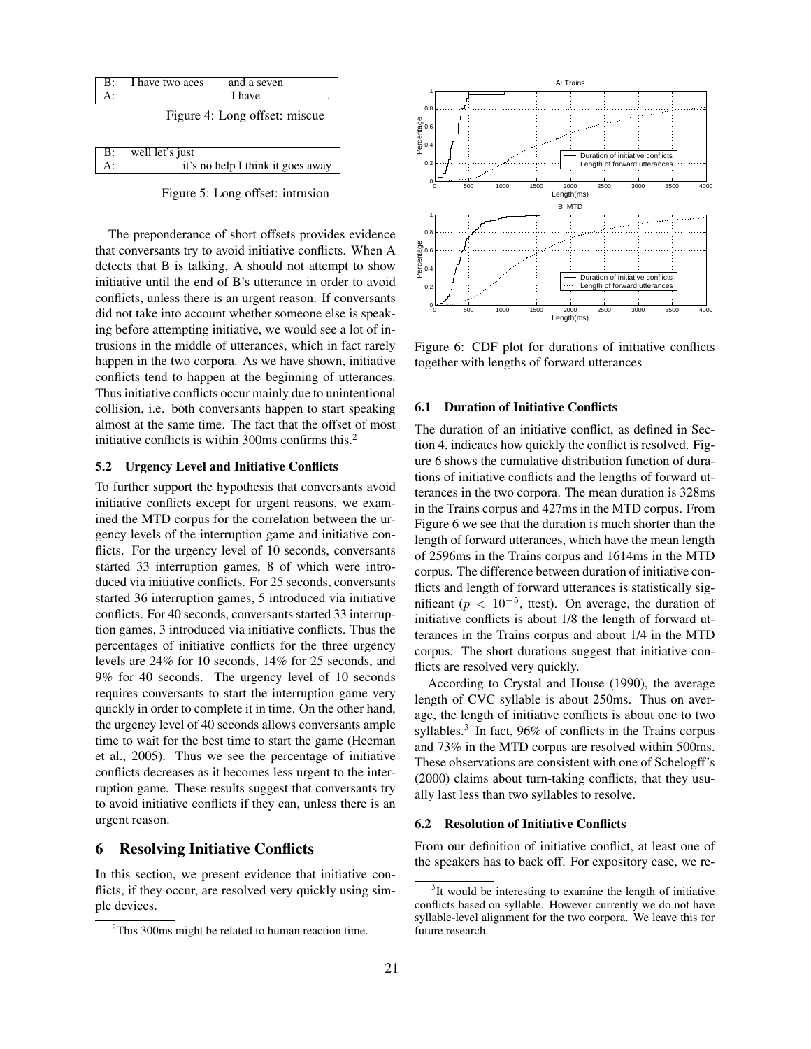

|    | B: well let's just                |
|----|-----------------------------------|
| A: | it's no help I think it goes away |
|    |                                   |

Figure 5: Long offset: intrusion

The preponderance of short offsets provides evidence that conversants try to avoid initiative conflicts. When A detects that B is talking, A should not attempt to show initiative until the end of B's utterance in order to avoid conflicts, unless there is an urgent reason. If conversants did not take into account whether someone else is speaking before attempting initiative, we would see a lot of intrusions in the middle of utterances, which in fact rarely happen in the two corpora. As we have shown, initiative conflicts tend to happen at the beginning of utterances. Thus initiative conflicts occur mainly due to unintentional collision, i.e. both conversants happen to start speaking almost at the same time. The fact that the offset of most initiative conflicts is within 300ms confirms this. $2$ 

## 5.2 Urgency Level and Initiative Conflicts

To further support the hypothesis that conversants avoid initiative conflicts except for urgent reasons, we examined the MTD corpus for the correlation between the urgency levels of the interruption game and initiative conflicts. For the urgency level of 10 seconds, conversants started 33 interruption games, 8 of which were introduced via initiative conflicts. For 25 seconds, conversants started 36 interruption games, 5 introduced via initiative conflicts. For 40 seconds, conversants started 33 interruption games, 3 introduced via initiative conflicts. Thus the percentages of initiative conflicts for the three urgency levels are 24% for 10 seconds, 14% for 25 seconds, and 9% for 40 seconds. The urgency level of 10 seconds requires conversants to start the interruption game very quickly in order to complete it in time. On the other hand, the urgency level of 40 seconds allows conversants ample time to wait for the best time to start the game (Heeman et al., 2005). Thus we see the percentage of initiative conflicts decreases as it becomes less urgent to the interruption game. These results suggest that conversants try to avoid initiative conflicts if they can, unless there is an urgent reason.

## 6 Resolving Initiative Conflicts

In this section, we present evidence that initiative conflicts, if they occur, are resolved very quickly using simple devices.



Figure 6: CDF plot for durations of initiative conflicts together with lengths of forward utterances

## 6.1 Duration of Initiative Conflicts

The duration of an initiative conflict, as defined in Section 4, indicates how quickly the conflict is resolved. Figure 6 shows the cumulative distribution function of durations of initiative conflicts and the lengths of forward utterances in the two corpora. The mean duration is 328ms in the Trains corpus and 427ms in the MTD corpus. From Figure 6 we see that the duration is much shorter than the length of forward utterances, which have the mean length of 2596ms in the Trains corpus and 1614ms in the MTD corpus. The difference between duration of initiative conflicts and length of forward utterances is statistically significant ( $p < 10^{-5}$ , ttest). On average, the duration of initiative conflicts is about 1/8 the length of forward utterances in the Trains corpus and about 1/4 in the MTD corpus. The short durations suggest that initiative conflicts are resolved very quickly.

According to Crystal and House (1990), the average length of CVC syllable is about 250ms. Thus on average, the length of initiative conflicts is about one to two syllables.<sup>3</sup> In fact, 96% of conflicts in the Trains corpus and 73% in the MTD corpus are resolved within 500ms. These observations are consistent with one of Schelogff's (2000) claims about turn-taking conflicts, that they usually last less than two syllables to resolve.

#### 6.2 Resolution of Initiative Conflicts

From our definition of initiative conflict, at least one of the speakers has to back off. For expository ease, we re-

 $2$ This 300ms might be related to human reaction time.

 $3$ It would be interesting to examine the length of initiative conflicts based on syllable. However currently we do not have syllable-level alignment for the two corpora. We leave this for future research.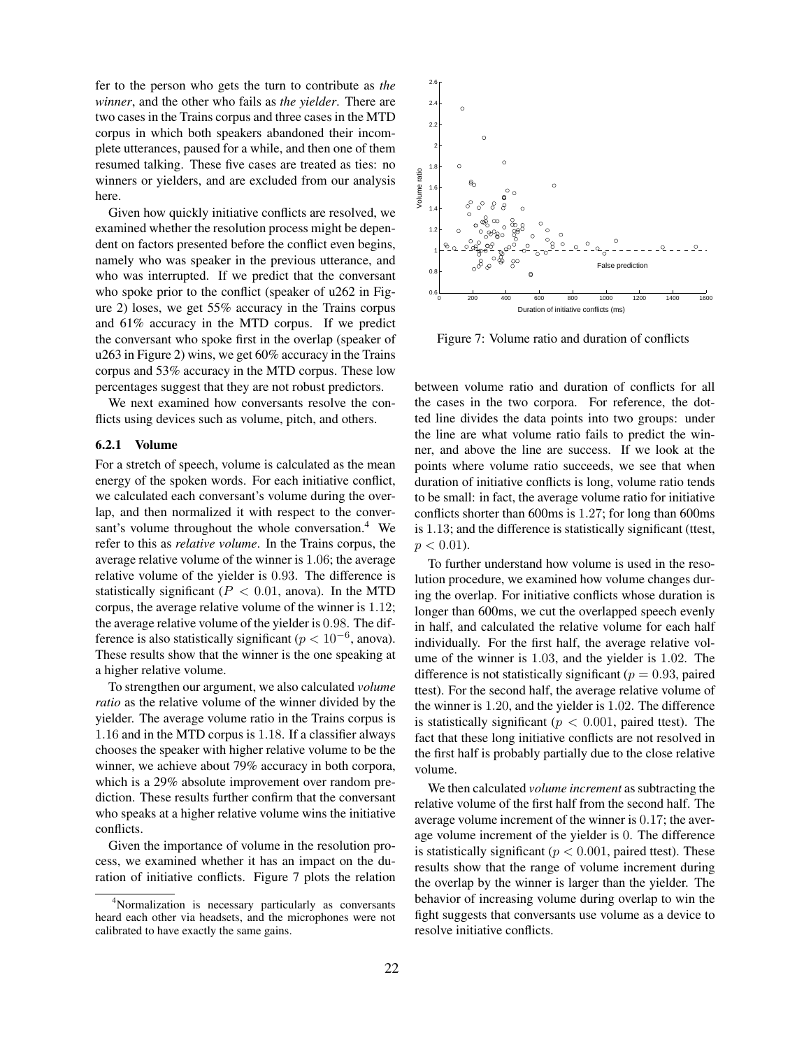fer to the person who gets the turn to contribute as *the winner*, and the other who fails as *the yielder*. There are two cases in the Trains corpus and three cases in the MTD corpus in which both speakers abandoned their incomplete utterances, paused for a while, and then one of them resumed talking. These five cases are treated as ties: no winners or yielders, and are excluded from our analysis here.

Given how quickly initiative conflicts are resolved, we examined whether the resolution process might be dependent on factors presented before the conflict even begins, namely who was speaker in the previous utterance, and who was interrupted. If we predict that the conversant who spoke prior to the conflict (speaker of u262 in Figure 2) loses, we get 55% accuracy in the Trains corpus and 61% accuracy in the MTD corpus. If we predict the conversant who spoke first in the overlap (speaker of u263 in Figure 2) wins, we get 60% accuracy in the Trains corpus and 53% accuracy in the MTD corpus. These low percentages suggest that they are not robust predictors.

We next examined how conversants resolve the conflicts using devices such as volume, pitch, and others.

### 6.2.1 Volume

For a stretch of speech, volume is calculated as the mean energy of the spoken words. For each initiative conflict, we calculated each conversant's volume during the overlap, and then normalized it with respect to the conversant's volume throughout the whole conversation.<sup>4</sup> We refer to this as *relative volume*. In the Trains corpus, the average relative volume of the winner is 1.06; the average relative volume of the yielder is 0.93. The difference is statistically significant ( $P < 0.01$ , anova). In the MTD corpus, the average relative volume of the winner is 1.12; the average relative volume of the yielder is 0.98. The difference is also statistically significant ( $p < 10^{-6}$ , anova). These results show that the winner is the one speaking at a higher relative volume.

To strengthen our argument, we also calculated *volume ratio* as the relative volume of the winner divided by the yielder. The average volume ratio in the Trains corpus is 1.16 and in the MTD corpus is 1.18. If a classifier always chooses the speaker with higher relative volume to be the winner, we achieve about 79% accuracy in both corpora, which is a 29% absolute improvement over random prediction. These results further confirm that the conversant who speaks at a higher relative volume wins the initiative conflicts.

Given the importance of volume in the resolution process, we examined whether it has an impact on the duration of initiative conflicts. Figure 7 plots the relation



Figure 7: Volume ratio and duration of conflicts

between volume ratio and duration of conflicts for all the cases in the two corpora. For reference, the dotted line divides the data points into two groups: under the line are what volume ratio fails to predict the winner, and above the line are success. If we look at the points where volume ratio succeeds, we see that when duration of initiative conflicts is long, volume ratio tends to be small: in fact, the average volume ratio for initiative conflicts shorter than 600ms is 1.27; for long than 600ms is 1.13; and the difference is statistically significant (ttest,  $p < 0.01$ ).

To further understand how volume is used in the resolution procedure, we examined how volume changes during the overlap. For initiative conflicts whose duration is longer than 600ms, we cut the overlapped speech evenly in half, and calculated the relative volume for each half individually. For the first half, the average relative volume of the winner is 1.03, and the yielder is 1.02. The difference is not statistically significant ( $p = 0.93$ , paired ttest). For the second half, the average relative volume of the winner is 1.20, and the yielder is 1.02. The difference is statistically significant ( $p < 0.001$ , paired ttest). The fact that these long initiative conflicts are not resolved in the first half is probably partially due to the close relative volume.

We then calculated *volume increment* as subtracting the relative volume of the first half from the second half. The average volume increment of the winner is 0.17; the average volume increment of the yielder is 0. The difference is statistically significant ( $p < 0.001$ , paired ttest). These results show that the range of volume increment during the overlap by the winner is larger than the yielder. The behavior of increasing volume during overlap to win the fight suggests that conversants use volume as a device to resolve initiative conflicts.

<sup>4</sup>Normalization is necessary particularly as conversants heard each other via headsets, and the microphones were not calibrated to have exactly the same gains.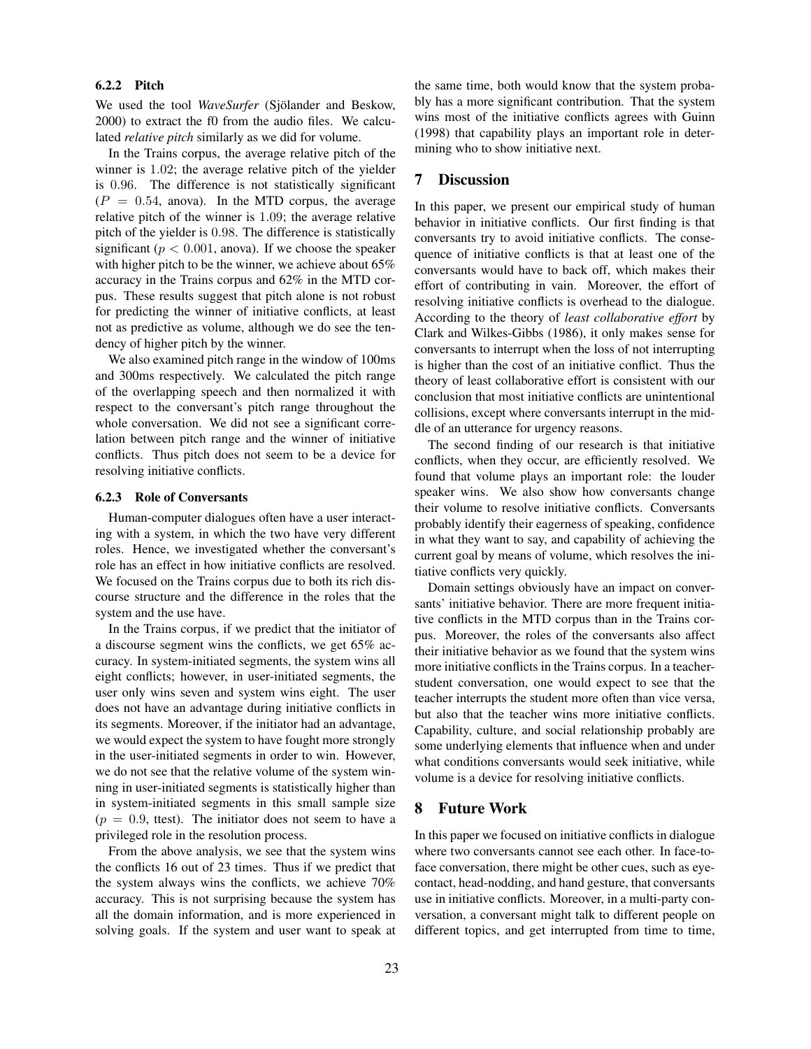## 6.2.2 Pitch

We used the tool *WaveSurfer* (Sjölander and Beskow, 2000) to extract the f0 from the audio files. We calculated *relative pitch* similarly as we did for volume.

In the Trains corpus, the average relative pitch of the winner is 1.02; the average relative pitch of the yielder is 0.96. The difference is not statistically significant  $(P = 0.54,$  anova). In the MTD corpus, the average relative pitch of the winner is 1.09; the average relative pitch of the yielder is 0.98. The difference is statistically significant ( $p < 0.001$ , anova). If we choose the speaker with higher pitch to be the winner, we achieve about 65% accuracy in the Trains corpus and 62% in the MTD corpus. These results suggest that pitch alone is not robust for predicting the winner of initiative conflicts, at least not as predictive as volume, although we do see the tendency of higher pitch by the winner.

We also examined pitch range in the window of 100ms and 300ms respectively. We calculated the pitch range of the overlapping speech and then normalized it with respect to the conversant's pitch range throughout the whole conversation. We did not see a significant correlation between pitch range and the winner of initiative conflicts. Thus pitch does not seem to be a device for resolving initiative conflicts.

#### 6.2.3 Role of Conversants

Human-computer dialogues often have a user interacting with a system, in which the two have very different roles. Hence, we investigated whether the conversant's role has an effect in how initiative conflicts are resolved. We focused on the Trains corpus due to both its rich discourse structure and the difference in the roles that the system and the use have.

In the Trains corpus, if we predict that the initiator of a discourse segment wins the conflicts, we get 65% accuracy. In system-initiated segments, the system wins all eight conflicts; however, in user-initiated segments, the user only wins seven and system wins eight. The user does not have an advantage during initiative conflicts in its segments. Moreover, if the initiator had an advantage, we would expect the system to have fought more strongly in the user-initiated segments in order to win. However, we do not see that the relative volume of the system winning in user-initiated segments is statistically higher than in system-initiated segments in this small sample size  $(p = 0.9, \text{ ttest})$ . The initiator does not seem to have a privileged role in the resolution process.

From the above analysis, we see that the system wins the conflicts 16 out of 23 times. Thus if we predict that the system always wins the conflicts, we achieve 70% accuracy. This is not surprising because the system has all the domain information, and is more experienced in solving goals. If the system and user want to speak at the same time, both would know that the system probably has a more significant contribution. That the system wins most of the initiative conflicts agrees with Guinn (1998) that capability plays an important role in determining who to show initiative next.

## 7 Discussion

In this paper, we present our empirical study of human behavior in initiative conflicts. Our first finding is that conversants try to avoid initiative conflicts. The consequence of initiative conflicts is that at least one of the conversants would have to back off, which makes their effort of contributing in vain. Moreover, the effort of resolving initiative conflicts is overhead to the dialogue. According to the theory of *least collaborative effort* by Clark and Wilkes-Gibbs (1986), it only makes sense for conversants to interrupt when the loss of not interrupting is higher than the cost of an initiative conflict. Thus the theory of least collaborative effort is consistent with our conclusion that most initiative conflicts are unintentional collisions, except where conversants interrupt in the middle of an utterance for urgency reasons.

The second finding of our research is that initiative conflicts, when they occur, are efficiently resolved. We found that volume plays an important role: the louder speaker wins. We also show how conversants change their volume to resolve initiative conflicts. Conversants probably identify their eagerness of speaking, confidence in what they want to say, and capability of achieving the current goal by means of volume, which resolves the initiative conflicts very quickly.

Domain settings obviously have an impact on conversants' initiative behavior. There are more frequent initiative conflicts in the MTD corpus than in the Trains corpus. Moreover, the roles of the conversants also affect their initiative behavior as we found that the system wins more initiative conflicts in the Trains corpus. In a teacherstudent conversation, one would expect to see that the teacher interrupts the student more often than vice versa, but also that the teacher wins more initiative conflicts. Capability, culture, and social relationship probably are some underlying elements that influence when and under what conditions conversants would seek initiative, while volume is a device for resolving initiative conflicts.

# 8 Future Work

In this paper we focused on initiative conflicts in dialogue where two conversants cannot see each other. In face-toface conversation, there might be other cues, such as eyecontact, head-nodding, and hand gesture, that conversants use in initiative conflicts. Moreover, in a multi-party conversation, a conversant might talk to different people on different topics, and get interrupted from time to time,